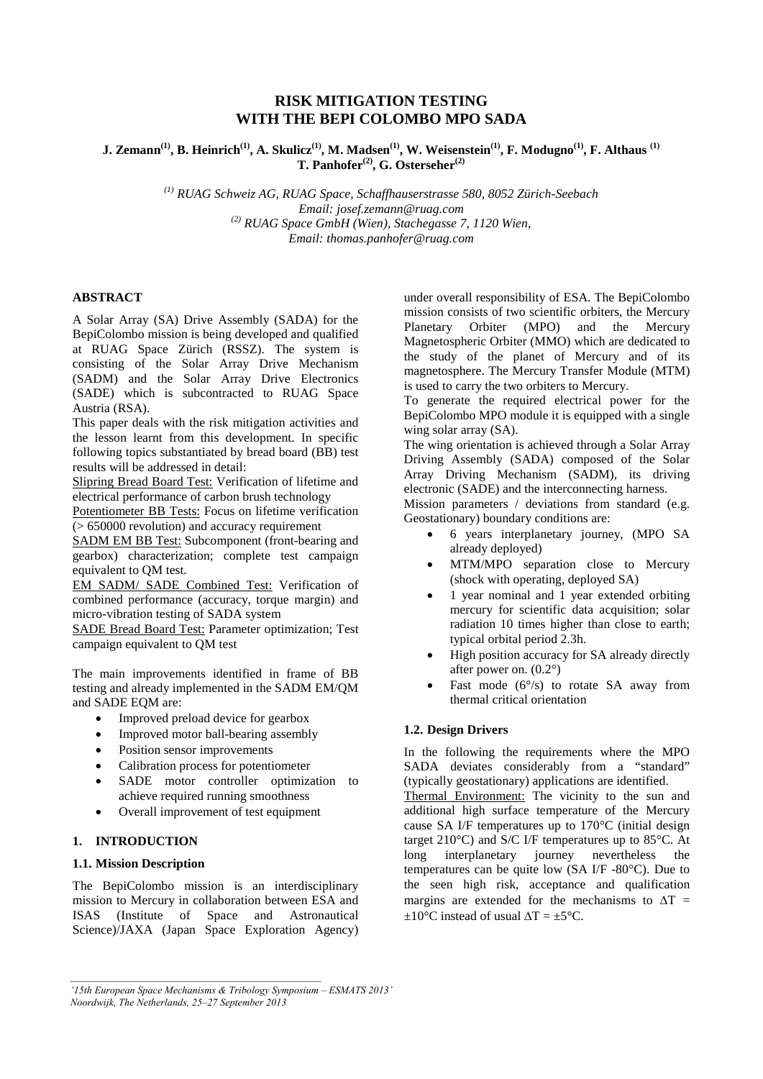# **RISK MITIGATION TESTING WITH THE BEPI COLOMBO MPO SADA**

**J. Zemann(1), B. Heinrich(1), A. Skulicz(1), M. Madsen(1), W. Weisenstein(1), F. Modugno(1), F. Althaus (1) T. Panhofer(2), G. Osterseher(2)**

> *(1) RUAG Schweiz AG, RUAG Space, Schaffhauserstrasse 580, 8052 Zürich-Seebach Email: josef.zemann@ruag.com (2) RUAG Space GmbH (Wien), Stachegasse 7, 1120 Wien, Email: thomas.panhofer@ruag.com*

#### **ABSTRACT**

A Solar Array (SA) Drive Assembly (SADA) for the BepiColombo mission is being developed and qualified at RUAG Space Zürich (RSSZ). The system is consisting of the Solar Array Drive Mechanism (SADM) and the Solar Array Drive Electronics (SADE) which is subcontracted to RUAG Space Austria (RSA).

This paper deals with the risk mitigation activities and the lesson learnt from this development. In specific following topics substantiated by bread board (BB) test results will be addressed in detail:

Slipring Bread Board Test: Verification of lifetime and electrical performance of carbon brush technology

Potentiometer BB Tests: Focus on lifetime verification (> 650000 revolution) and accuracy requirement

SADM EM BB Test: Subcomponent (front-bearing and gearbox) characterization; complete test campaign equivalent to QM test.

EM SADM/ SADE Combined Test: Verification of combined performance (accuracy, torque margin) and micro-vibration testing of SADA system

SADE Bread Board Test: Parameter optimization; Test campaign equivalent to QM test

The main improvements identified in frame of BB testing and already implemented in the SADM EM/QM and SADE EQM are:

- Improved preload device for gearbox
- Improved motor ball-bearing assembly
- Position sensor improvements
- Calibration process for potentiometer
- SADE motor controller optimization to achieve required running smoothness
- Overall improvement of test equipment

### **1. INTRODUCTION**

### **1.1. Mission Description**

The BepiColombo mission is an interdisciplinary mission to Mercury in collaboration between ESA and ISAS (Institute of Space and Astronautical Science)/JAXA (Japan Space Exploration Agency)

under overall responsibility of ESA. The BepiColombo mission consists of two scientific orbiters, the Mercury Planetary Orbiter (MPO) and the Mercury Magnetospheric Orbiter (MMO) which are dedicated to the study of the planet of Mercury and of its magnetosphere. The Mercury Transfer Module (MTM) is used to carry the two orbiters to Mercury.

To generate the required electrical power for the BepiColombo MPO module it is equipped with a single wing solar array (SA).

The wing orientation is achieved through a Solar Array Driving Assembly (SADA) composed of the Solar Array Driving Mechanism (SADM), its driving electronic (SADE) and the interconnecting harness.

Mission parameters / deviations from standard (e.g. Geostationary) boundary conditions are:

- 6 years interplanetary journey, (MPO SA already deployed)
- MTM/MPO separation close to Mercury (shock with operating, deployed SA)
- 1 year nominal and 1 year extended orbiting mercury for scientific data acquisition; solar radiation 10 times higher than close to earth; typical orbital period 2.3h.
- High position accuracy for SA already directly after power on. (0.2°)
- Fast mode  $(6^{\circ}/s)$  to rotate SA away from thermal critical orientation

### **1.2. Design Drivers**

In the following the requirements where the MPO SADA deviates considerably from a "standard" (typically geostationary) applications are identified.

Thermal Environment: The vicinity to the sun and additional high surface temperature of the Mercury cause SA I/F temperatures up to 170°C (initial design target 210°C) and S/C I/F temperatures up to 85°C. At long interplanetary journey nevertheless the temperatures can be quite low (SA I/F -80°C). Due to the seen high risk, acceptance and qualification margins are extended for the mechanisms to  $\Delta T$  =  $\pm 10^{\circ}$ C instead of usual  $\Delta T = \pm 5^{\circ}$ C.

*<sup>&#</sup>x27;15th European Space Mechanisms & Tribology Symposium – ESMATS 2013' Noordwijk, The Netherlands, 25–27 September 2013*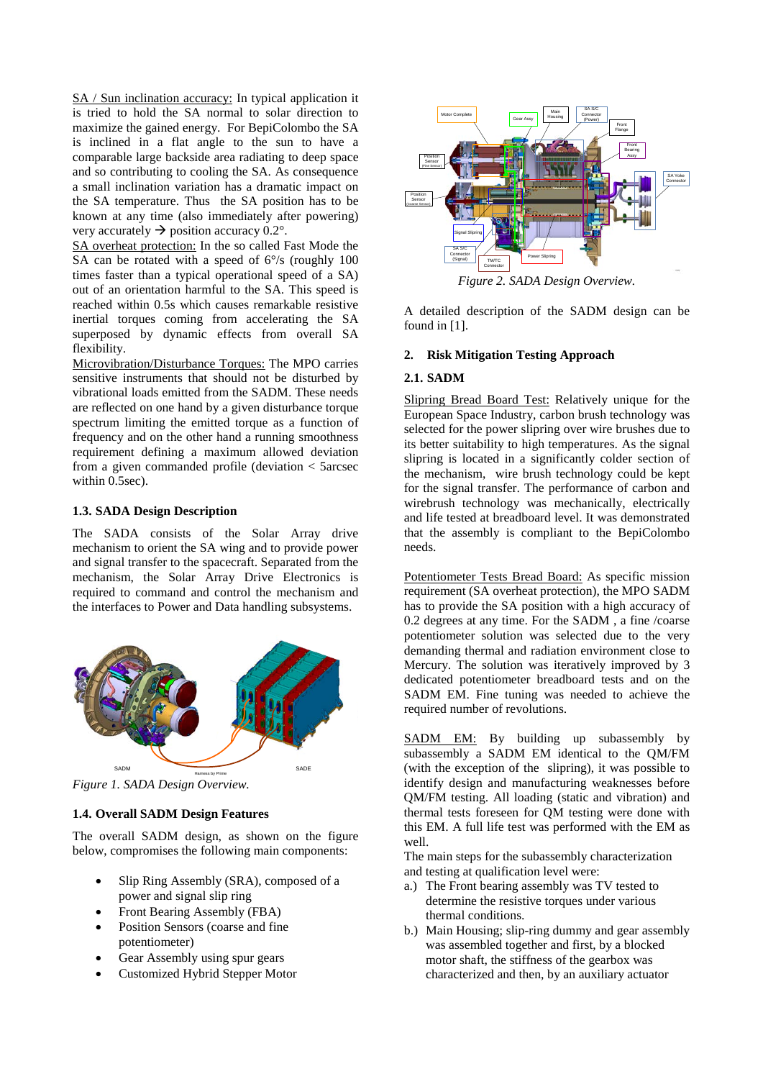SA / Sun inclination accuracy: In typical application it is tried to hold the SA normal to solar direction to maximize the gained energy. For BepiColombo the SA is inclined in a flat angle to the sun to have a comparable large backside area radiating to deep space and so contributing to cooling the SA. As consequence a small inclination variation has a dramatic impact on the SA temperature. Thus the SA position has to be known at any time (also immediately after powering) very accurately  $\rightarrow$  position accuracy 0.2°.

SA overheat protection: In the so called Fast Mode the SA can be rotated with a speed of  $6\%$  (roughly 100) times faster than a typical operational speed of a SA) out of an orientation harmful to the SA. This speed is reached within 0.5s which causes remarkable resistive inertial torques coming from accelerating the SA superposed by dynamic effects from overall SA flexibility.

Microvibration/Disturbance Torques: The MPO carries sensitive instruments that should not be disturbed by vibrational loads emitted from the SADM. These needs are reflected on one hand by a given disturbance torque spectrum limiting the emitted torque as a function of frequency and on the other hand a running smoothness requirement defining a maximum allowed deviation from a given commanded profile (deviation < 5arcsec within 0.5sec).

#### **1.3. SADA Design Description**

The SADA consists of the Solar Array drive mechanism to orient the SA wing and to provide power and signal transfer to the spacecraft. Separated from the mechanism, the Solar Array Drive Electronics is required to command and control the mechanism and the interfaces to Power and Data handling subsystems.



*Figure 1. SADA Design Overview.*

## **1.4. Overall SADM Design Features**

The overall SADM design, as shown on the figure below, compromises the following main components:

- Slip Ring Assembly (SRA), composed of a power and signal slip ring
- Front Bearing Assembly (FBA)
- Position Sensors (coarse and fine potentiometer)
- Gear Assembly using spur gears
- Customized Hybrid Stepper Motor



*Figure 2. SADA Design Overview.*

A detailed description of the SADM design can be found in [1].

# **2. Risk Mitigation Testing Approach**

# **2.1. SADM**

Slipring Bread Board Test: Relatively unique for the European Space Industry, carbon brush technology was selected for the power slipring over wire brushes due to its better suitability to high temperatures. As the signal slipring is located in a significantly colder section of the mechanism, wire brush technology could be kept for the signal transfer. The performance of carbon and wirebrush technology was mechanically, electrically and life tested at breadboard level. It was demonstrated that the assembly is compliant to the BepiColombo needs.

Potentiometer Tests Bread Board: As specific mission requirement (SA overheat protection), the MPO SADM has to provide the SA position with a high accuracy of 0.2 degrees at any time. For the SADM , a fine /coarse potentiometer solution was selected due to the very demanding thermal and radiation environment close to Mercury. The solution was iteratively improved by 3 dedicated potentiometer breadboard tests and on the SADM EM. Fine tuning was needed to achieve the required number of revolutions.

SADM EM: By building up subassembly by subassembly a SADM EM identical to the QM/FM (with the exception of the slipring), it was possible to identify design and manufacturing weaknesses before QM/FM testing. All loading (static and vibration) and thermal tests foreseen for QM testing were done with this EM. A full life test was performed with the EM as well.

The main steps for the subassembly characterization and testing at qualification level were:

- a.) The Front bearing assembly was TV tested to determine the resistive torques under various thermal conditions.
- b.) Main Housing; slip-ring dummy and gear assembly was assembled together and first, by a blocked motor shaft, the stiffness of the gearbox was characterized and then, by an auxiliary actuator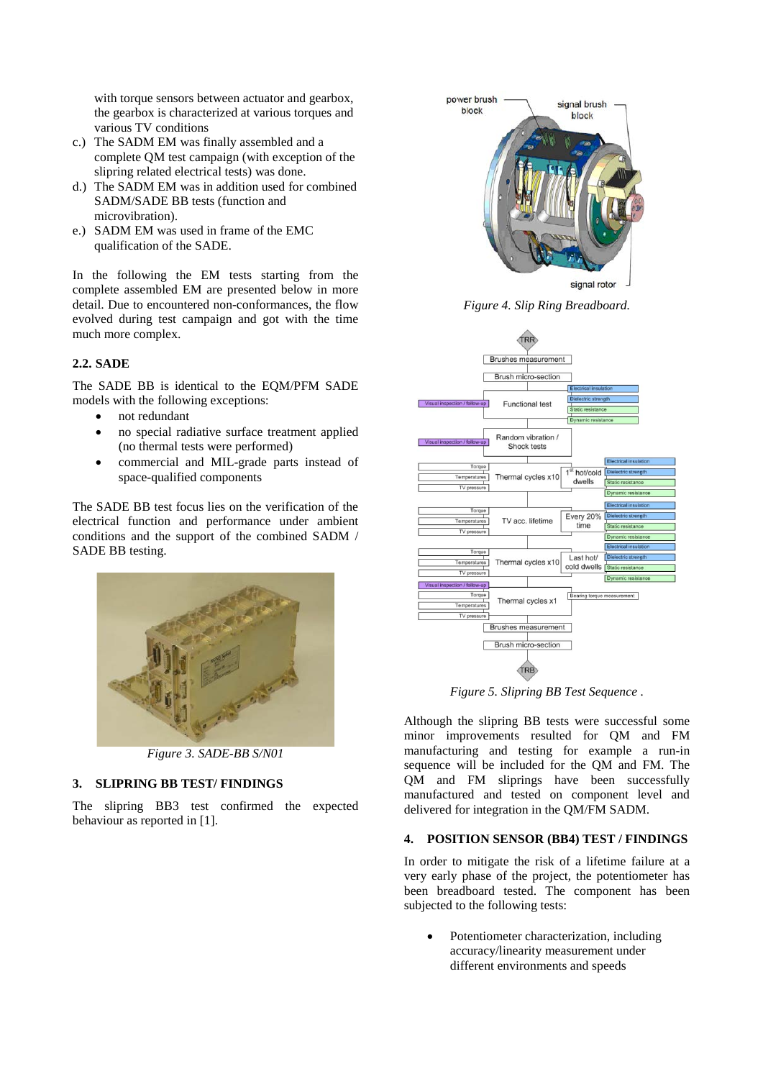with torque sensors between actuator and gearbox, the gearbox is characterized at various torques and various TV conditions

- c.) The SADM EM was finally assembled and a complete QM test campaign (with exception of the slipring related electrical tests) was done.
- d.) The SADM EM was in addition used for combined SADM/SADE BB tests (function and microvibration).
- e.) SADM EM was used in frame of the EMC qualification of the SADE.

In the following the EM tests starting from the complete assembled EM are presented below in more detail. Due to encountered non-conformances, the flow evolved during test campaign and got with the time much more complex.

### **2.2. SADE**

The SADE BB is identical to the EQM/PFM SADE models with the following exceptions:

- not redundant
- no special radiative surface treatment applied (no thermal tests were performed)
- commercial and MIL-grade parts instead of space-qualified components

The SADE BB test focus lies on the verification of the electrical function and performance under ambient conditions and the support of the combined SADM / SADE BB testing.



*Figure 3. SADE-BB S/N01*

### **3. SLIPRING BB TEST/ FINDINGS**

The slipring BB3 test confirmed the expected behaviour as reported in [1].



*Figure 4. Slip Ring Breadboard.*



*Figure 5. Slipring BB Test Sequence .*

Although the slipring BB tests were successful some minor improvements resulted for QM and FM manufacturing and testing for example a run-in sequence will be included for the QM and FM. The QM and FM sliprings have been successfully manufactured and tested on component level and delivered for integration in the QM/FM SADM.

### **4. POSITION SENSOR (BB4) TEST / FINDINGS**

In order to mitigate the risk of a lifetime failure at a very early phase of the project, the potentiometer has been breadboard tested. The component has been subjected to the following tests:

• Potentiometer characterization, including accuracy/linearity measurement under different environments and speeds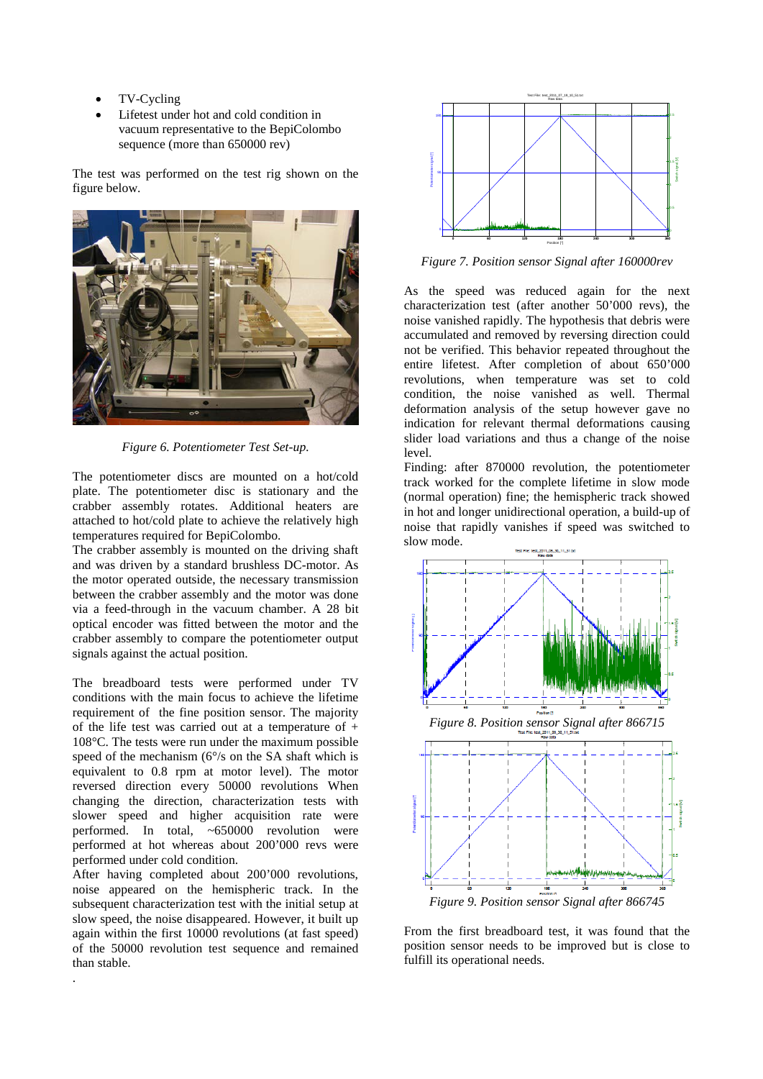- TV-Cycling
- Lifetest under hot and cold condition in vacuum representative to the BepiColombo sequence (more than 650000 rev)

The test was performed on the test rig shown on the figure below.



*Figure 6. Potentiometer Test Set-up.*

The potentiometer discs are mounted on a hot/cold plate. The potentiometer disc is stationary and the crabber assembly rotates. Additional heaters are attached to hot/cold plate to achieve the relatively high temperatures required for BepiColombo.

The crabber assembly is mounted on the driving shaft and was driven by a standard brushless DC-motor. As the motor operated outside, the necessary transmission between the crabber assembly and the motor was done via a feed-through in the vacuum chamber. A 28 bit optical encoder was fitted between the motor and the crabber assembly to compare the potentiometer output signals against the actual position.

The breadboard tests were performed under TV conditions with the main focus to achieve the lifetime requirement of the fine position sensor. The majority of the life test was carried out at a temperature of + 108°C. The tests were run under the maximum possible speed of the mechanism (6°/s on the SA shaft which is equivalent to 0.8 rpm at motor level). The motor reversed direction every 50000 revolutions When changing the direction, characterization tests with slower speed and higher acquisition rate were performed. In total, ~650000 revolution were performed at hot whereas about 200'000 revs were performed under cold condition.

After having completed about 200'000 revolutions, noise appeared on the hemispheric track. In the subsequent characterization test with the initial setup at slow speed, the noise disappeared. However, it built up again within the first 10000 revolutions (at fast speed) of the 50000 revolution test sequence and remained than stable.

.



*Figure 7. Position sensor Signal after 160000rev*

As the speed was reduced again for the next characterization test (after another 50'000 revs), the noise vanished rapidly. The hypothesis that debris were accumulated and removed by reversing direction could not be verified. This behavior repeated throughout the entire lifetest. After completion of about 650'000 revolutions, when temperature was set to cold condition, the noise vanished as well. Thermal deformation analysis of the setup however gave no indication for relevant thermal deformations causing slider load variations and thus a change of the noise level.

Finding: after 870000 revolution, the potentiometer track worked for the complete lifetime in slow mode (normal operation) fine; the hemispheric track showed in hot and longer unidirectional operation, a build-up of noise that rapidly vanishes if speed was switched to slow mode.



From the first breadboard test, it was found that the position sensor needs to be improved but is close to fulfill its operational needs.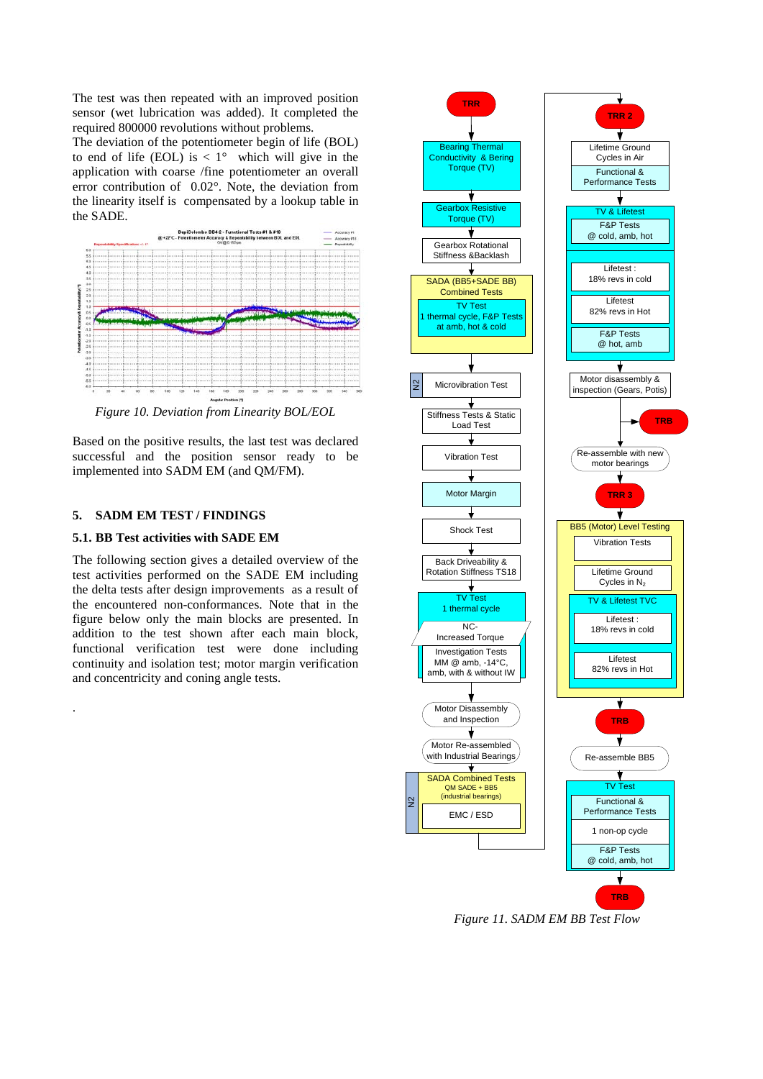The test was then repeated with an improved position sensor (wet lubrication was added). It completed the required 800000 revolutions without problems.

The deviation of the potentiometer begin of life (BOL) to end of life (EOL) is  $\langle 1^{\circ}$  which will give in the application with coarse /fine potentiometer an overall error contribution of 0.02°. Note, the deviation from the linearity itself is compensated by a lookup table in the SADE.



*Figure 10. Deviation from Linearity BOL/EOL*

Based on the positive results, the last test was declared successful and the position sensor ready to be implemented into SADM EM (and QM/FM).

# **5. SADM EM TEST / FINDINGS**

.

#### **5.1. BB Test activities with SADE EM**

The following section gives a detailed overview of the test activities performed on the SADE EM including the delta tests after design improvements as a result of the encountered non-conformances. Note that in the figure below only the main blocks are presented. In addition to the test shown after each main block, functional verification test were done including continuity and isolation test; motor margin verification and concentricity and coning angle tests.



*Figure 11. SADM EM BB Test Flow*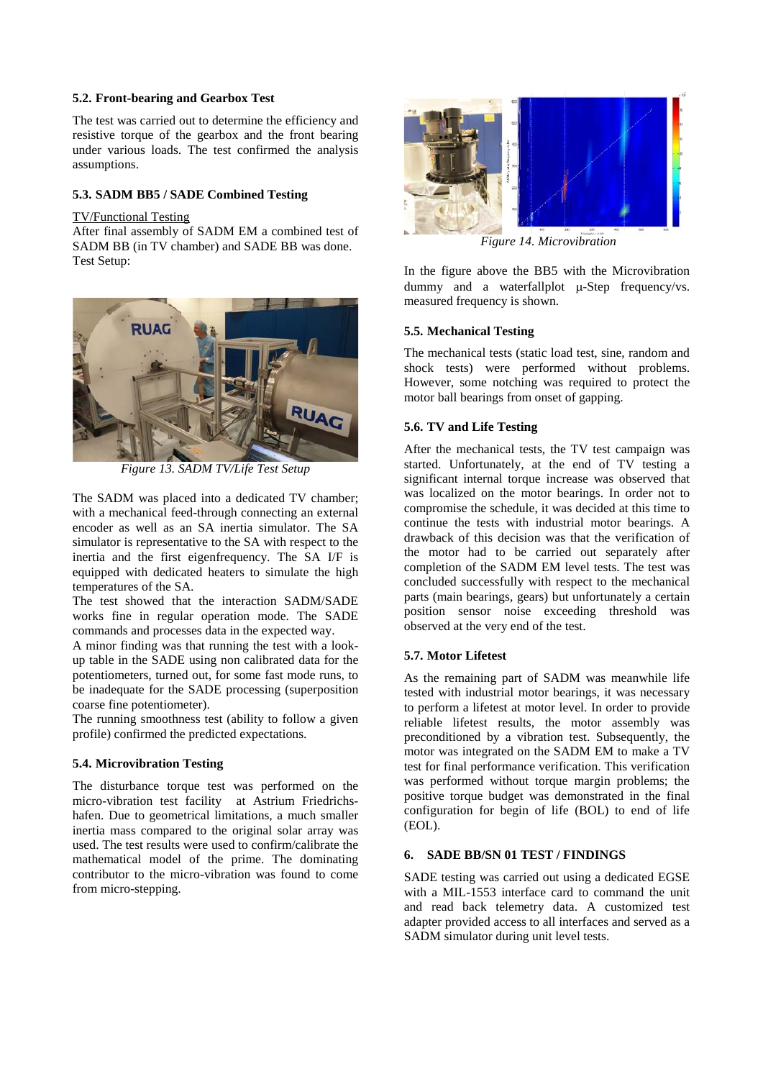# **5.2. Front-bearing and Gearbox Test**

The test was carried out to determine the efficiency and resistive torque of the gearbox and the front bearing under various loads. The test confirmed the analysis assumptions.

### **5.3. SADM BB5 / SADE Combined Testing**

### TV/Functional Testing

After final assembly of SADM EM a combined test of SADM BB (in TV chamber) and SADE BB was done. Test Setup:



*Figure 13. SADM TV/Life Test Setup*

The SADM was placed into a dedicated TV chamber; with a mechanical feed-through connecting an external encoder as well as an SA inertia simulator. The SA simulator is representative to the SA with respect to the inertia and the first eigenfrequency. The SA I/F is equipped with dedicated heaters to simulate the high temperatures of the SA.

The test showed that the interaction SADM/SADE works fine in regular operation mode. The SADE commands and processes data in the expected way.

A minor finding was that running the test with a lookup table in the SADE using non calibrated data for the potentiometers, turned out, for some fast mode runs, to be inadequate for the SADE processing (superposition coarse fine potentiometer).

The running smoothness test (ability to follow a given profile) confirmed the predicted expectations.

### **5.4. Microvibration Testing**

The disturbance torque test was performed on the micro-vibration test facility at Astrium Friedrichshafen. Due to geometrical limitations, a much smaller inertia mass compared to the original solar array was used. The test results were used to confirm/calibrate the mathematical model of the prime. The dominating contributor to the micro-vibration was found to come from micro-stepping.



*Figure 14. Microvibration*

In the figure above the BB5 with the Microvibration dummy and a waterfallplot µ-Step frequency/vs. measured frequency is shown.

# **5.5. Mechanical Testing**

The mechanical tests (static load test, sine, random and shock tests) were performed without problems. However, some notching was required to protect the motor ball bearings from onset of gapping.

# **5.6. TV and Life Testing**

After the mechanical tests, the TV test campaign was started. Unfortunately, at the end of TV testing a significant internal torque increase was observed that was localized on the motor bearings. In order not to compromise the schedule, it was decided at this time to continue the tests with industrial motor bearings. A drawback of this decision was that the verification of the motor had to be carried out separately after completion of the SADM EM level tests. The test was concluded successfully with respect to the mechanical parts (main bearings, gears) but unfortunately a certain position sensor noise exceeding threshold was observed at the very end of the test.

# **5.7. Motor Lifetest**

As the remaining part of SADM was meanwhile life tested with industrial motor bearings, it was necessary to perform a lifetest at motor level. In order to provide reliable lifetest results, the motor assembly was preconditioned by a vibration test. Subsequently, the motor was integrated on the SADM EM to make a TV test for final performance verification. This verification was performed without torque margin problems; the positive torque budget was demonstrated in the final configuration for begin of life (BOL) to end of life (EOL).

# **6. SADE BB/SN 01 TEST / FINDINGS**

SADE testing was carried out using a dedicated EGSE with a MIL-1553 interface card to command the unit and read back telemetry data. A customized test adapter provided access to all interfaces and served as a SADM simulator during unit level tests.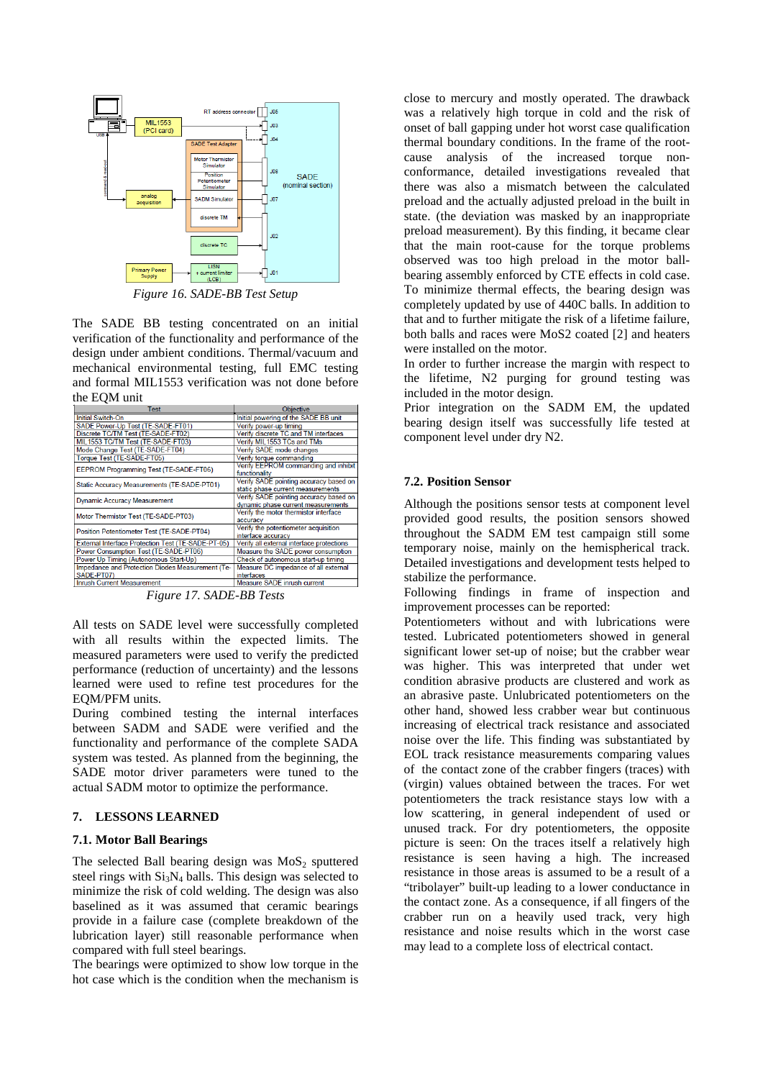

*Figure 16. SADE-BB Test Setup*

The SADE BB testing concentrated on an initial verification of the functionality and performance of the design under ambient conditions. Thermal/vacuum and mechanical environmental testing, full EMC testing and formal MIL1553 verification was not done before the EQM unit

| Test                                               | <b>Objective</b>                          |
|----------------------------------------------------|-------------------------------------------|
| Initial Switch-On                                  | Initial powering of the SADE BB unit      |
| SADE Power-Up Test (TE-SADE-FT01)                  | Verify power-up timing                    |
| Discrete TC/TM Test (TE-SADE-FT02)                 | Verify discrete TC and TM interfaces      |
| MIL1553 TC/TM Test (TE-SADE-FT03)                  | Verify MIL1553 TCs and TMs                |
| Mode Change Test (TE-SADE-FT04)                    | Verify SADE mode changes                  |
| Torque Test (TE-SADE-FT05)                         | Verify torque commanding                  |
| EEPROM Programming Test (TE-SADE-FT06)             | Verify EEPROM commanding and inhibit      |
|                                                    | functionality                             |
| Static Accuracy Measurements (TE-SADE-PT01)        | Verify SADE pointing accuracy based on    |
|                                                    | static phase current measurements         |
| <b>Dynamic Accuracy Measurement</b>                | Verify SADE pointing accuracy based on    |
|                                                    | dynamic phase current measurements        |
| Motor Thermistor Test (TE-SADE-PT03)               | Verify the motor thermistor interface     |
|                                                    | accuracy                                  |
| Position Potentiometer Test (TE-SADE-PT04)         | Verify the potentiometer acquisition      |
|                                                    | interface accuracy                        |
| External Interface Protection Test (TE-SADE-PT-05) | Verify all external interface protections |
| Power Consumption Test (TE-SADE-PT06)              | Measure the SADE power consumption        |
| Power Up Timing (Autonomous Start-Up)              | Check of autonomous start-up timing       |
| Impedance and Protection Diodes Measurement (Te-   | Measure DC impedance of all external      |
| SADE-PT07)                                         | interfaces                                |
| <b>Inrush Current Measurement</b>                  | Measure SADE inrush current               |

*Figure 17. SADE-BB Tests* 

All tests on SADE level were successfully completed with all results within the expected limits. The measured parameters were used to verify the predicted performance (reduction of uncertainty) and the lessons learned were used to refine test procedures for the EQM/PFM units.

During combined testing the internal interfaces between SADM and SADE were verified and the functionality and performance of the complete SADA system was tested. As planned from the beginning, the SADE motor driver parameters were tuned to the actual SADM motor to optimize the performance.

#### **7. LESSONS LEARNED**

#### **7.1. Motor Ball Bearings**

The selected Ball bearing design was  $MoS<sub>2</sub>$  sputtered steel rings with  $Si<sub>3</sub>N<sub>4</sub>$  balls. This design was selected to minimize the risk of cold welding. The design was also baselined as it was assumed that ceramic bearings provide in a failure case (complete breakdown of the lubrication layer) still reasonable performance when compared with full steel bearings.

The bearings were optimized to show low torque in the hot case which is the condition when the mechanism is close to mercury and mostly operated. The drawback was a relatively high torque in cold and the risk of onset of ball gapping under hot worst case qualification thermal boundary conditions. In the frame of the rootcause analysis of the increased torque nonconformance, detailed investigations revealed that there was also a mismatch between the calculated preload and the actually adjusted preload in the built in state. (the deviation was masked by an inappropriate preload measurement). By this finding, it became clear that the main root-cause for the torque problems observed was too high preload in the motor ballbearing assembly enforced by CTE effects in cold case. To minimize thermal effects, the bearing design was completely updated by use of 440C balls. In addition to that and to further mitigate the risk of a lifetime failure, both balls and races were MoS2 coated [2] and heaters were installed on the motor.

In order to further increase the margin with respect to the lifetime, N2 purging for ground testing was included in the motor design.

Prior integration on the SADM EM, the updated bearing design itself was successfully life tested at component level under dry N2.

#### **7.2. Position Sensor**

Although the positions sensor tests at component level provided good results, the position sensors showed throughout the SADM EM test campaign still some temporary noise, mainly on the hemispherical track. Detailed investigations and development tests helped to stabilize the performance.

Following findings in frame of inspection and improvement processes can be reported:

Potentiometers without and with lubrications were tested. Lubricated potentiometers showed in general significant lower set-up of noise; but the crabber wear was higher. This was interpreted that under wet condition abrasive products are clustered and work as an abrasive paste. Unlubricated potentiometers on the other hand, showed less crabber wear but continuous increasing of electrical track resistance and associated noise over the life. This finding was substantiated by EOL track resistance measurements comparing values of the contact zone of the crabber fingers (traces) with (virgin) values obtained between the traces. For wet potentiometers the track resistance stays low with a low scattering, in general independent of used or unused track. For dry potentiometers, the opposite picture is seen: On the traces itself a relatively high resistance is seen having a high. The increased resistance in those areas is assumed to be a result of a "tribolayer" built-up leading to a lower conductance in the contact zone. As a consequence, if all fingers of the crabber run on a heavily used track, very high resistance and noise results which in the worst case may lead to a complete loss of electrical contact.